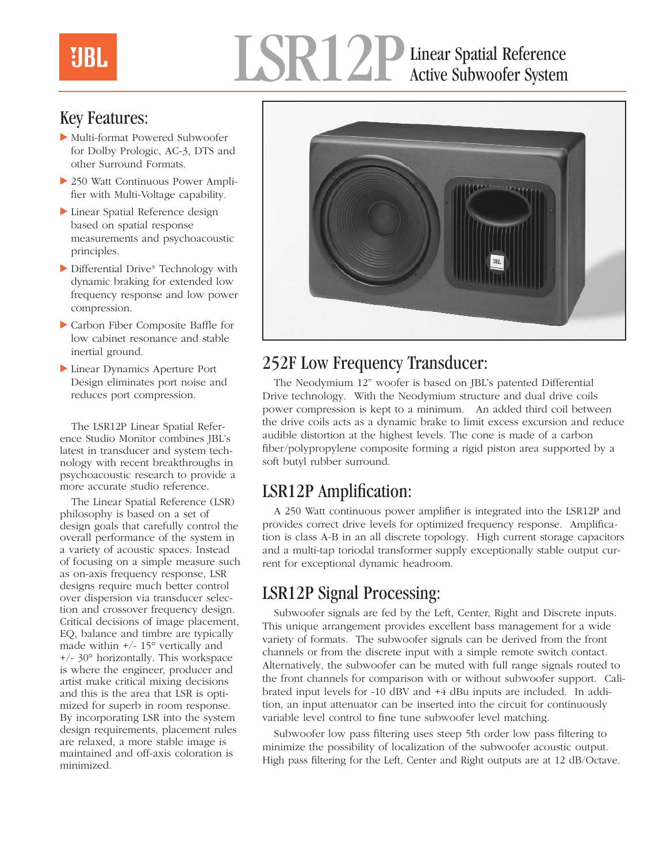# Linear Spatial Reference Active Subwoofer System

### Key Features:

- Multi-format Powered Subwoofer for Dolby Prologic, AC-3, DTS and other Surround Formats.
- 250 Watt Continuous Power Amplifier with Multi-Voltage capability.
- $\blacktriangleright$  Linear Spatial Reference design based on spatial response measurements and psychoacoustic principles.
- Differential Drive® Technology with dynamic braking for extended low frequency response and low power compression.
- Carbon Fiber Composite Baffle for low cabinet resonance and stable inertial ground.
- Linear Dynamics Aperture Port Design eliminates port noise and reduces port compression.

The LSR12P Linear Spatial Reference Studio Monitor combines JBL's latest in transducer and system technology with recent breakthroughs in psychoacoustic research to provide a more accurate studio reference.

The Linear Spatial Reference (LSR) philosophy is based on a set of design goals that carefully control the overall performance of the system in a variety of acoustic spaces. Instead of focusing on a simple measure such as on-axis frequency response, LSR designs require much better control over dispersion via transducer selection and crossover frequency design. Critical decisions of image placement, EQ, balance and timbre are typically made within +/- 15° vertically and +/- 30° horizontally. This workspace is where the engineer, producer and artist make critical mixing decisions and this is the area that LSR is optimized for superb in room response. By incorporating LSR into the system design requirements, placement rules are relaxed, a more stable image is maintained and off-axis coloration is minimized.



### 252F Low Frequency Transducer:

The Neodymium 12" woofer is based on JBL's patented Differential Drive technology. With the Neodymium structure and dual drive coils power compression is kept to a minimum. An added third coil between the drive coils acts as a dynamic brake to limit excess excursion and reduce audible distortion at the highest levels. The cone is made of a carbon fiber/polypropylene composite forming a rigid piston area supported by a soft butyl rubber surround.

### LSR12P Amplification:

A 250 Watt continuous power amplifier is integrated into the LSR12P and provides correct drive levels for optimized frequency response. Amplification is class A-B in an all discrete topology. High current storage capacitors and a multi-tap toriodal transformer supply exceptionally stable output current for exceptional dynamic headroom.

### LSR12P Signal Processing:

Subwoofer signals are fed by the Left, Center, Right and Discrete inputs. This unique arrangement provides excellent bass management for a wide variety of formats. The subwoofer signals can be derived from the front channels or from the discrete input with a simple remote switch contact. Alternatively, the subwoofer can be muted with full range signals routed to the front channels for comparison with or without subwoofer support. Calibrated input levels for -10 dBV and +4 dBu inputs are included. In addition, an input attenuator can be inserted into the circuit for continuously variable level control to fine tune subwoofer level matching.

Subwoofer low pass filtering uses steep 5th order low pass filtering to minimize the possibility of localization of the subwoofer acoustic output. High pass filtering for the Left, Center and Right outputs are at 12 dB/Octave.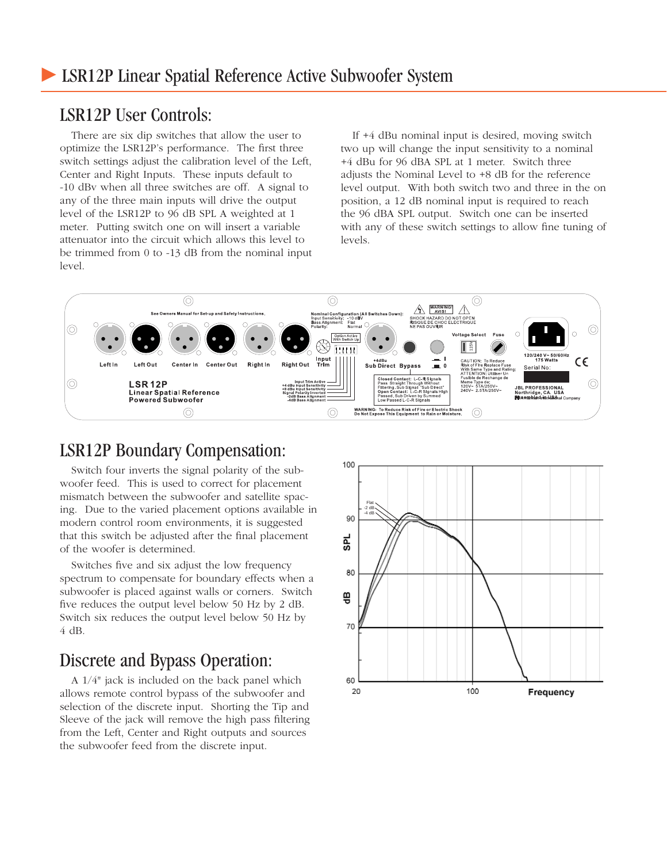#### LSR12P User Controls:

There are six dip switches that allow the user to optimize the LSR12P's performance. The first three switch settings adjust the calibration level of the Left, Center and Right Inputs. These inputs default to -10 dBv when all three switches are off. A signal to any of the three main inputs will drive the output level of the LSR12P to 96 dB SPL A weighted at 1 meter. Putting switch one on will insert a variable attenuator into the circuit which allows this level to be trimmed from 0 to -13 dB from the nominal input level.

If +4 dBu nominal input is desired, moving switch two up will change the input sensitivity to a nominal +4 dBu for 96 dBA SPL at 1 meter. Switch three adjusts the Nominal Level to +8 dB for the reference level output. With both switch two and three in the on position, a 12 dB nominal input is required to reach the 96 dBA SPL output. Switch one can be inserted with any of these switch settings to allow fine tuning of levels.



#### LSR12P Boundary Compensation:

Switch four inverts the signal polarity of the subwoofer feed. This is used to correct for placement mismatch between the subwoofer and satellite spacing. Due to the varied placement options available in modern control room environments, it is suggested that this switch be adjusted after the final placement of the woofer is determined.

Switches five and six adjust the low frequency spectrum to compensate for boundary effects when a subwoofer is placed against walls or corners. Switch five reduces the output level below 50 Hz by 2 dB. Switch six reduces the output level below 50 Hz by 4 dB.

#### Discrete and Bypass Operation:

A 1/4" jack is included on the back panel which allows remote control bypass of the subwoofer and selection of the discrete input. Shorting the Tip and Sleeve of the jack will remove the high pass filtering from the Left, Center and Right outputs and sources the subwoofer feed from the discrete input.

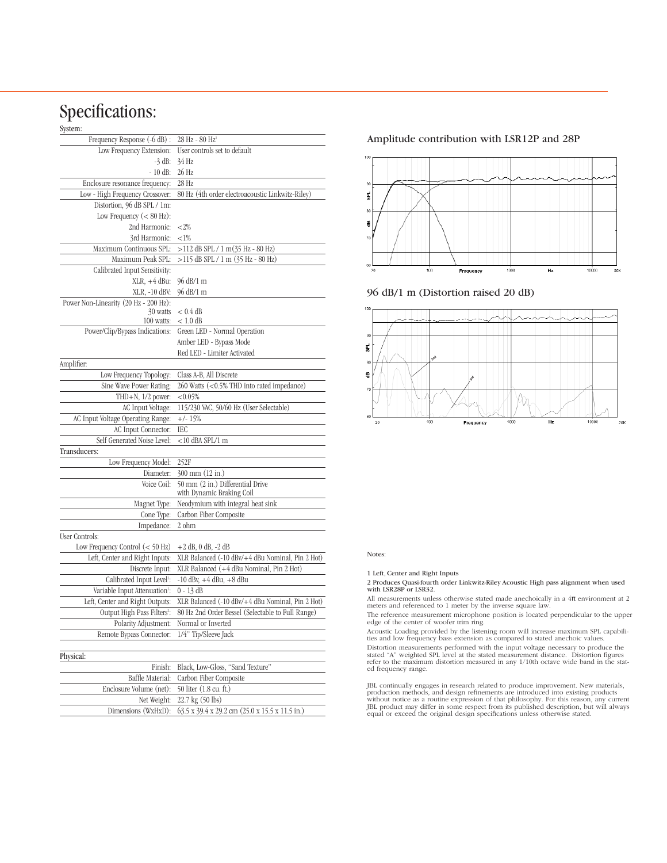#### Specifications:

#### System:

| әумеш.                                             |                                                        |
|----------------------------------------------------|--------------------------------------------------------|
| Frequency Response (-6 dB) :                       | $28$ Hz - $80$ Hz <sup>1</sup>                         |
| Low Frequency Extension:                           | User controls set to default                           |
| $-3$ dB:                                           | 34 Hz                                                  |
| $-10$ dB:                                          | 26 Hz                                                  |
| Enclosure resonance frequency:                     | 28 Hz                                                  |
| Low - High Frequency Crossover:                    | 80 Hz (4th order electroacoustic Linkwitz-Riley)       |
| Distortion, 96 dB SPL / 1m:                        |                                                        |
| Low Frequency $(< 80$ Hz):                         |                                                        |
| 2nd Harmonic:                                      | ${<}2\%$                                               |
| 3rd Harmonic:                                      | ${<}1\%$                                               |
| Maximum Continuous SPL:                            | >112 dB SPL / 1 m(35 Hz - 80 Hz)                       |
| Maximum Peak SPL:                                  | >115 dB SPL / 1 m (35 Hz - 80 Hz)                      |
| Calibrated Input Sensitivity:                      |                                                        |
| $XLR$ , $+4$ dBu:                                  | 96 dB/1 m                                              |
| XLR, -10 dBV:                                      | 96 dB/1 m                                              |
| Power Non-Linearity (20 Hz - 200 Hz):              |                                                        |
| 30 watts<br>100 watts:                             | $< 0.4$ dB                                             |
|                                                    | $< 1.0 \text{ dB}$                                     |
| Power/Clip/Bypass Indications:                     | Green LED - Normal Operation                           |
|                                                    | Amber LED - Bypass Mode<br>Red LED - Limiter Activated |
| Amplifier:                                         |                                                        |
|                                                    | Class A-B, All Discrete                                |
| Low Frequency Topology:<br>Sine Wave Power Rating: | 260 Watts (<0.5% THD into rated impedance)             |
| THD+N, $1/2$ power:                                | < 0.05%                                                |
| AC Input Voltage:                                  | 115/230 VAC, 50/60 Hz (User Selectable)                |
| AC Input Voltage Operating Range:                  | $+/- 15%$                                              |
| AC Input Connector:                                | IEC                                                    |
| Self Generated Noise Level:                        | <10 dBA SPL/1 m                                        |
| Transducers:                                       |                                                        |
| Low Frequency Model:                               | 252F                                                   |
| Diameter:                                          | 300 mm (12 in.)                                        |
| Voice Coil:                                        | 50 mm (2 in.) Differential Drive                       |
|                                                    | with Dynamic Braking Coil                              |
| Magnet Type:                                       | Neodymium with integral heat sink                      |
| Cone Type:                                         | Carbon Fiber Composite                                 |
| Impedance:                                         | 2 ohm                                                  |
| User Controls:                                     |                                                        |
| Low Frequency Control $(< 50$ Hz)                  | $+2$ dB, 0 dB, $-2$ dB                                 |
| Left, Center and Right Inputs:                     | XLR Balanced (-10 dBv/+4 dBu Nominal, Pin 2 Hot)       |
| Discrete Input:                                    | XLR Balanced (+4 dBu Nominal, Pin 2 Hot)               |
| Calibrated Input Level <sup>1</sup> :              | $-10$ dBv, $+4$ dBu, $+8$ dBu                          |
| Variable Input Attenuation <sup>1</sup> :          | $0 - 13$ dB                                            |
| Left, Center and Right Outputs:                    | XLR Balanced (-10 dBv/+4 dBu Nominal, Pin 2 Hot)       |
| Output High Pass Filters <sup>2</sup> :            | 80 Hz 2nd Order Bessel (Selectable to Full Range)      |
| Polarity Adjustment:                               | Normal or Inverted                                     |
| Remote Bypass Connector:                           | 1/4" Tip/Sleeve Jack                                   |
|                                                    |                                                        |
| Physical:                                          |                                                        |
| Finish:                                            | Black, Low-Gloss, "Sand Texture"                       |
| Baffle Material:                                   | Carbon Fiber Composite                                 |
| Enclosure Volume (net):                            | 50 liter (1.8 cu. ft.)                                 |
| Net Weight:                                        | 22.7 kg (50 lbs)                                       |
| Dimensions (WxHxD):                                | 63.5 x 39.4 x 29.2 cm (25.0 x 15.5 x 11.5 in.)         |

#### Amplitude contribution with LSR12P and 28P







#### Notes:

#### 1 Left, Center and Right Inputs

2 Produces Quasi-fourth order Linkwitz-Riley Acoustic High pass alignment when used with LSR28P or LSR32.

All measurements unless otherwise stated made anechoically in a  $4\pi$  environment at 2 meters and referenced to 1 meter by the inverse square law.

The reference measurement microphone position is located perpendicular to the upper edge of the center of woofer trim ring.

Acoustic Loading provided by the listening room will increase maximum SPL capabili-ties and low frequency bass extension as compared to stated anechoic values.

Distortion measurements performed with the input voltage necessary to produce the<br>stated "A" weighted SPL level at the stated measurement distance. Distortion figures<br>refer to the maximum distortion measured in any 1/10th ed frequency range.

JBL continually engages in research related to produce improvement. New materials, production methods, and design refinements are introduced into existing products without notice as a routine expression of that philosophy.